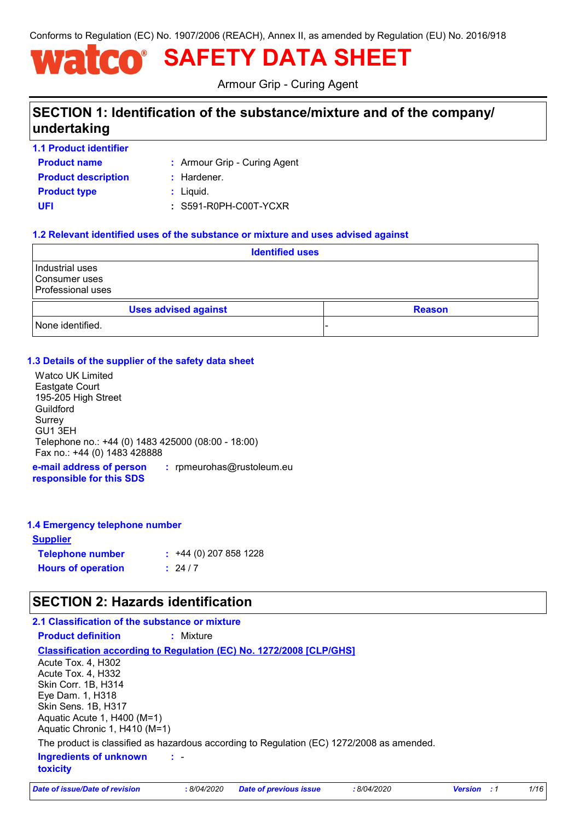Conforms to Regulation (EC) No. 1907/2006 (REACH), Annex II, as amended by Regulation (EU) No. 2016/918

# **SAFETY DATA SHEET**

Armour Grip - Curing Agent

# **SECTION 1: Identification of the substance/mixture and of the company/ undertaking**

**1.1 Product identifier**

**Product name**

Armour Grip - Curing Agent **:**

**Product type**  $\qquad$ **:** Liquid. **Product description :** Hardener.

**UFI :** S591-R0PH-C00T-YCXR

#### **1.2 Relevant identified uses of the substance or mixture and uses advised against**

| <b>Identified uses</b>                                       |                             |  |               |
|--------------------------------------------------------------|-----------------------------|--|---------------|
| Industrial uses<br>Consumer uses<br><b>Professional uses</b> |                             |  |               |
|                                                              | <b>Uses advised against</b> |  | <b>Reason</b> |
| None identified.                                             |                             |  |               |

#### **1.3 Details of the supplier of the safety data sheet**

Watco UK Limited Eastgate Court 195-205 High Street Guildford Surrey GU1 3EH Telephone no.: +44 (0) 1483 425000 (08:00 - 18:00) Fax no.: +44 (0) 1483 428888

**e-mail address of person responsible for this SDS :** rpmeurohas@rustoleum.eu

#### **1.4 Emergency telephone number**

| <u>Supplier</u>           |                         |
|---------------------------|-------------------------|
| <b>Telephone number</b>   | $: +44(0)$ 207 858 1228 |
| <b>Hours of operation</b> | : 24/7                  |

### **SECTION 2: Hazards identification**

#### **2.1 Classification of the substance or mixture**

**Product definition :** Mixture

**Classification according to Regulation (EC) No. 1272/2008 [CLP/GHS]**

- **Ingredients of unknown toxicity :** Acute Tox. 4, H302 Acute Tox. 4, H332 Skin Corr. 1B, H314 Eye Dam. 1, H318 Skin Sens. 1B, H317 Aquatic Acute 1, H400 (M=1) Aquatic Chronic 1, H410 (M=1) The product is classified as hazardous according to Regulation (EC) 1272/2008 as amended.

*Date of issue/Date of revision* **:** *8/04/2020 Date of previous issue : 8/04/2020 Version : 1 1/16*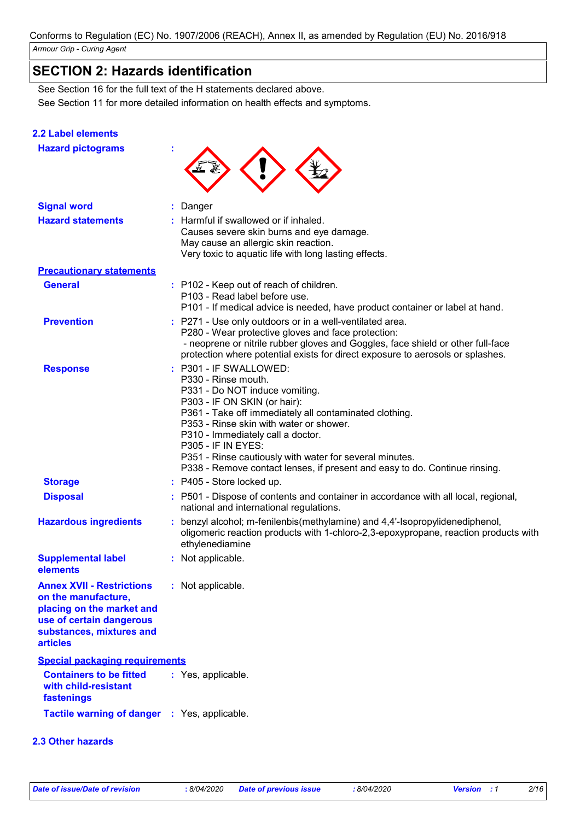# **SECTION 2: Hazards identification**

See Section 11 for more detailed information on health effects and symptoms. See Section 16 for the full text of the H statements declared above.

#### **2.2 Label elements**

**Hazard pictograms :**

| <b>Signal word</b>                                                                                                                                       | : Danger                                                                                                                                                                                                                                                                                                                                                                                                                        |
|----------------------------------------------------------------------------------------------------------------------------------------------------------|---------------------------------------------------------------------------------------------------------------------------------------------------------------------------------------------------------------------------------------------------------------------------------------------------------------------------------------------------------------------------------------------------------------------------------|
| <b>Hazard statements</b>                                                                                                                                 | : Harmful if swallowed or if inhaled.<br>Causes severe skin burns and eye damage.<br>May cause an allergic skin reaction.<br>Very toxic to aquatic life with long lasting effects.                                                                                                                                                                                                                                              |
| <b>Precautionary statements</b>                                                                                                                          |                                                                                                                                                                                                                                                                                                                                                                                                                                 |
| <b>General</b>                                                                                                                                           | : P102 - Keep out of reach of children.<br>P103 - Read label before use.<br>P101 - If medical advice is needed, have product container or label at hand.                                                                                                                                                                                                                                                                        |
| <b>Prevention</b>                                                                                                                                        | : P271 - Use only outdoors or in a well-ventilated area.<br>P280 - Wear protective gloves and face protection:<br>- neoprene or nitrile rubber gloves and Goggles, face shield or other full-face<br>protection where potential exists for direct exposure to aerosols or splashes.                                                                                                                                             |
| <b>Response</b>                                                                                                                                          | : P301 - IF SWALLOWED:<br>P330 - Rinse mouth.<br>P331 - Do NOT induce vomiting.<br>P303 - IF ON SKIN (or hair):<br>P361 - Take off immediately all contaminated clothing.<br>P353 - Rinse skin with water or shower.<br>P310 - Immediately call a doctor.<br><b>P305 - IF IN EYES:</b><br>P351 - Rinse cautiously with water for several minutes.<br>P338 - Remove contact lenses, if present and easy to do. Continue rinsing. |
| <b>Storage</b>                                                                                                                                           | : P405 - Store locked up.                                                                                                                                                                                                                                                                                                                                                                                                       |
| <b>Disposal</b>                                                                                                                                          | : P501 - Dispose of contents and container in accordance with all local, regional,<br>national and international regulations.                                                                                                                                                                                                                                                                                                   |
| <b>Hazardous ingredients</b>                                                                                                                             | : benzyl alcohol; m-fenilenbis(methylamine) and 4,4'-Isopropylidenediphenol,<br>oligomeric reaction products with 1-chloro-2,3-epoxypropane, reaction products with<br>ethylenediamine                                                                                                                                                                                                                                          |
| <b>Supplemental label</b><br>elements                                                                                                                    | : Not applicable.                                                                                                                                                                                                                                                                                                                                                                                                               |
| <b>Annex XVII - Restrictions</b><br>on the manufacture,<br>placing on the market and<br>use of certain dangerous<br>substances, mixtures and<br>articles | : Not applicable.                                                                                                                                                                                                                                                                                                                                                                                                               |
| <b>Special packaging requirements</b>                                                                                                                    |                                                                                                                                                                                                                                                                                                                                                                                                                                 |
| <b>Containers to be fitted</b><br>with child-resistant<br>fastenings                                                                                     | : Yes, applicable.                                                                                                                                                                                                                                                                                                                                                                                                              |
| Tactile warning of danger : Yes, applicable.                                                                                                             |                                                                                                                                                                                                                                                                                                                                                                                                                                 |

#### **2.3 Other hazards**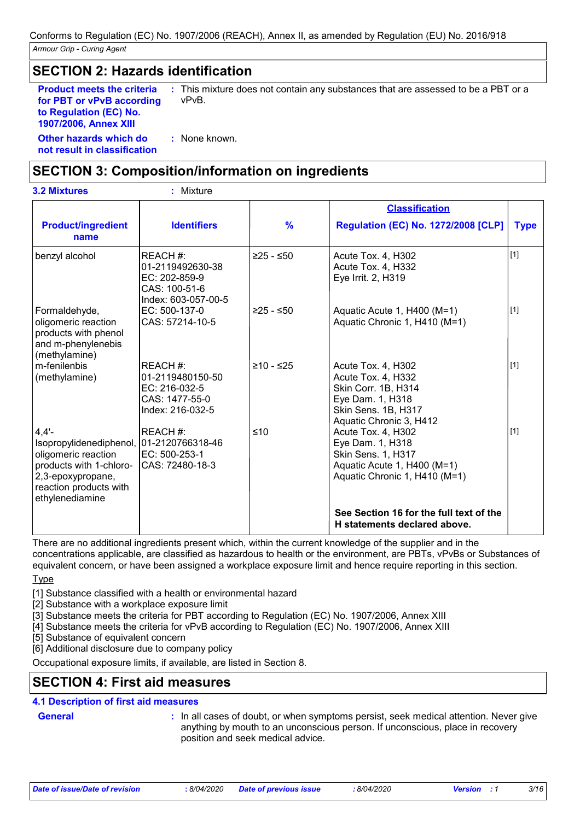### **SECTION 2: Hazards identification**

**Product meets the criteria for PBT or vPvB according to Regulation (EC) No. 1907/2006, Annex XIII**

**:** This mixture does not contain any substances that are assessed to be a PBT or a vPvB.

**Other hazards which do : not result in classification** : None known.

### **SECTION 3: Composition/information on ingredients**

| <b>3.2 Mixtures</b>                                                                                                                                                      | : Mixture                                                                             |               |                                                                                                                                       |             |
|--------------------------------------------------------------------------------------------------------------------------------------------------------------------------|---------------------------------------------------------------------------------------|---------------|---------------------------------------------------------------------------------------------------------------------------------------|-------------|
|                                                                                                                                                                          |                                                                                       |               | <b>Classification</b>                                                                                                                 |             |
| <b>Product/ingredient</b><br>name                                                                                                                                        | <b>Identifiers</b>                                                                    | $\frac{9}{6}$ | <b>Regulation (EC) No. 1272/2008 [CLP]</b>                                                                                            | <b>Type</b> |
| benzyl alcohol                                                                                                                                                           | REACH #:<br>01-2119492630-38<br>EC: 202-859-9<br>CAS: 100-51-6<br>Index: 603-057-00-5 | $≥25 - ≤50$   | Acute Tox. 4, H302<br>Acute Tox. 4, H332<br>Eye Irrit. 2, H319                                                                        | $[1]$       |
| Formaldehyde,<br>oligomeric reaction<br>products with phenol<br>and m-phenylenebis<br>(methylamine)                                                                      | EC: 500-137-0<br>CAS: 57214-10-5                                                      | $≥25 - ≤50$   | Aquatic Acute 1, H400 (M=1)<br>Aquatic Chronic 1, H410 (M=1)                                                                          | $[1]$       |
| m-fenilenbis<br>(methylamine)                                                                                                                                            | REACH #:<br>01-2119480150-50<br>EC: 216-032-5<br>CAS: 1477-55-0<br>Index: 216-032-5   | ≥10 - ≤25     | Acute Tox. 4, H302<br>Acute Tox. 4, H332<br>Skin Corr. 1B, H314<br>Eye Dam. 1, H318<br>Skin Sens. 1B, H317<br>Aquatic Chronic 3, H412 | $[1]$       |
| $4,4'$ -<br>Isopropylidenediphenol, 01-2120766318-46<br>oligomeric reaction<br>products with 1-chloro-<br>2,3-epoxypropane,<br>reaction products with<br>ethylenediamine | REACH #:<br>EC: 500-253-1<br>CAS: 72480-18-3                                          | $≤10$         | Acute Tox. 4, H302<br>Eye Dam. 1, H318<br>Skin Sens. 1, H317<br>Aquatic Acute 1, H400 (M=1)<br>Aquatic Chronic 1, H410 (M=1)          | $\vert$ [1] |
|                                                                                                                                                                          |                                                                                       |               | See Section 16 for the full text of the<br>H statements declared above.                                                               |             |

There are no additional ingredients present which, within the current knowledge of the supplier and in the

concentrations applicable, are classified as hazardous to health or the environment, are PBTs, vPvBs or Substances of equivalent concern, or have been assigned a workplace exposure limit and hence require reporting in this section.

Type

[1] Substance classified with a health or environmental hazard

- [2] Substance with a workplace exposure limit
- [3] Substance meets the criteria for PBT according to Regulation (EC) No. 1907/2006, Annex XIII
- [4] Substance meets the criteria for vPvB according to Regulation (EC) No. 1907/2006, Annex XIII

[5] Substance of equivalent concern

[6] Additional disclosure due to company policy

Occupational exposure limits, if available, are listed in Section 8.

### **SECTION 4: First aid measures**

#### **4.1 Description of first aid measures**

General **In all cases of doubt, or when symptoms persist, seek medical attention. Never give <b>General** anything by mouth to an unconscious person. If unconscious, place in recovery position and seek medical advice.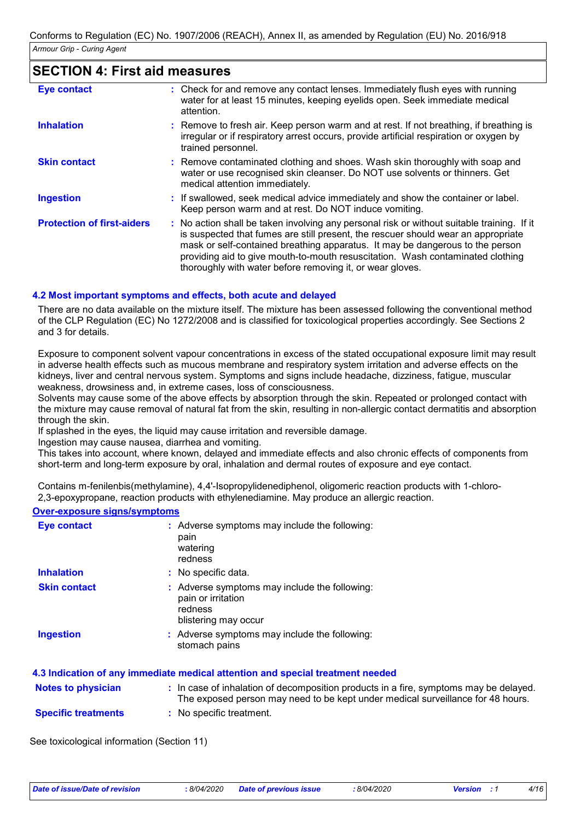### **SECTION 4: First aid measures**

| <b>Eye contact</b>                | : Check for and remove any contact lenses. Immediately flush eyes with running<br>water for at least 15 minutes, keeping eyelids open. Seek immediate medical<br>attention.                                                                                                                                                                                                                                     |
|-----------------------------------|-----------------------------------------------------------------------------------------------------------------------------------------------------------------------------------------------------------------------------------------------------------------------------------------------------------------------------------------------------------------------------------------------------------------|
| <b>Inhalation</b>                 | : Remove to fresh air. Keep person warm and at rest. If not breathing, if breathing is<br>irregular or if respiratory arrest occurs, provide artificial respiration or oxygen by<br>trained personnel.                                                                                                                                                                                                          |
| <b>Skin contact</b>               | : Remove contaminated clothing and shoes. Wash skin thoroughly with soap and<br>water or use recognised skin cleanser. Do NOT use solvents or thinners. Get<br>medical attention immediately.                                                                                                                                                                                                                   |
| <b>Ingestion</b>                  | : If swallowed, seek medical advice immediately and show the container or label.<br>Keep person warm and at rest. Do NOT induce vomiting.                                                                                                                                                                                                                                                                       |
| <b>Protection of first-aiders</b> | : No action shall be taken involving any personal risk or without suitable training. If it<br>is suspected that fumes are still present, the rescuer should wear an appropriate<br>mask or self-contained breathing apparatus. It may be dangerous to the person<br>providing aid to give mouth-to-mouth resuscitation. Wash contaminated clothing<br>thoroughly with water before removing it, or wear gloves. |

#### **4.2 Most important symptoms and effects, both acute and delayed**

There are no data available on the mixture itself. The mixture has been assessed following the conventional method of the CLP Regulation (EC) No 1272/2008 and is classified for toxicological properties accordingly. See Sections 2 and 3 for details.

Exposure to component solvent vapour concentrations in excess of the stated occupational exposure limit may result in adverse health effects such as mucous membrane and respiratory system irritation and adverse effects on the kidneys, liver and central nervous system. Symptoms and signs include headache, dizziness, fatigue, muscular weakness, drowsiness and, in extreme cases, loss of consciousness.

Solvents may cause some of the above effects by absorption through the skin. Repeated or prolonged contact with the mixture may cause removal of natural fat from the skin, resulting in non-allergic contact dermatitis and absorption through the skin.

If splashed in the eyes, the liquid may cause irritation and reversible damage.

Ingestion may cause nausea, diarrhea and vomiting.

This takes into account, where known, delayed and immediate effects and also chronic effects of components from short-term and long-term exposure by oral, inhalation and dermal routes of exposure and eye contact.

Contains m-fenilenbis(methylamine), 4,4'-Isopropylidenediphenol, oligomeric reaction products with 1-chloro-2,3-epoxypropane, reaction products with ethylenediamine. May produce an allergic reaction.

#### **Over-exposure signs/symptoms**

| <b>Eye contact</b>        | : Adverse symptoms may include the following:<br>pain<br>watering<br>redness                                                                                             |
|---------------------------|--------------------------------------------------------------------------------------------------------------------------------------------------------------------------|
| <b>Inhalation</b>         | : No specific data.                                                                                                                                                      |
| <b>Skin contact</b>       | : Adverse symptoms may include the following:<br>pain or irritation<br>redness<br>blistering may occur                                                                   |
| <b>Ingestion</b>          | : Adverse symptoms may include the following:<br>stomach pains                                                                                                           |
|                           | 4.3 Indication of any immediate medical attention and special treatment needed                                                                                           |
| <b>Notes to physician</b> | : In case of inhalation of decomposition products in a fire, symptoms may be delayed.<br>The exposed person may need to be kept under medical surveillance for 48 hours. |

**Specific treatments :** No specific treatment.

See toxicological information (Section 11)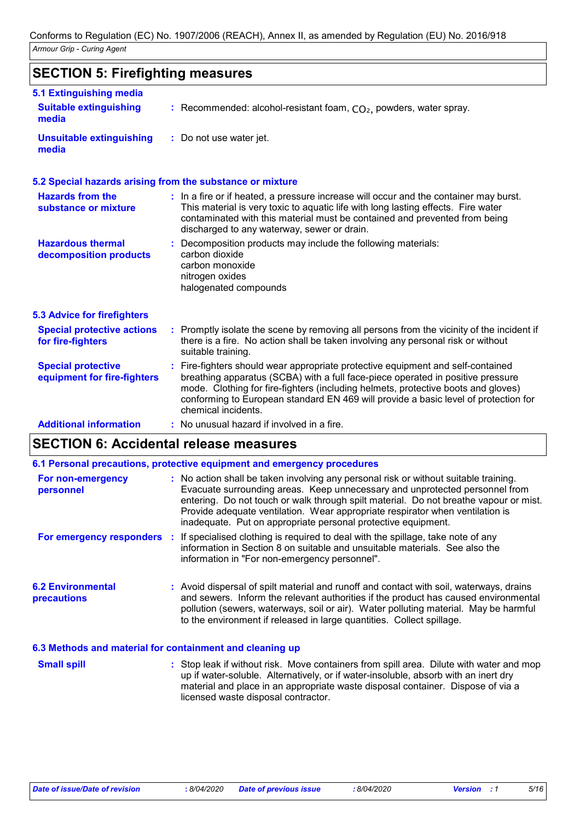# **SECTION 5: Firefighting measures**

| 5.1 Extinguishing media                                   |                                                                                                                                                                                                                                                                                                                                                                       |
|-----------------------------------------------------------|-----------------------------------------------------------------------------------------------------------------------------------------------------------------------------------------------------------------------------------------------------------------------------------------------------------------------------------------------------------------------|
| <b>Suitable extinguishing</b><br>media                    | : Recommended: alcohol-resistant foam, $CO2$ , powders, water spray.                                                                                                                                                                                                                                                                                                  |
| <b>Unsuitable extinguishing</b><br>media                  | : Do not use water jet.                                                                                                                                                                                                                                                                                                                                               |
| 5.2 Special hazards arising from the substance or mixture |                                                                                                                                                                                                                                                                                                                                                                       |
| <b>Hazards from the</b><br>substance or mixture           | : In a fire or if heated, a pressure increase will occur and the container may burst.<br>This material is very toxic to aquatic life with long lasting effects. Fire water<br>contaminated with this material must be contained and prevented from being<br>discharged to any waterway, sewer or drain.                                                               |
| <b>Hazardous thermal</b><br>decomposition products        | Decomposition products may include the following materials:<br>carbon dioxide<br>carbon monoxide<br>nitrogen oxides<br>halogenated compounds                                                                                                                                                                                                                          |
| <b>5.3 Advice for firefighters</b>                        |                                                                                                                                                                                                                                                                                                                                                                       |
| <b>Special protective actions</b><br>for fire-fighters    | : Promptly isolate the scene by removing all persons from the vicinity of the incident if<br>there is a fire. No action shall be taken involving any personal risk or without<br>suitable training.                                                                                                                                                                   |
| <b>Special protective</b><br>equipment for fire-fighters  | : Fire-fighters should wear appropriate protective equipment and self-contained<br>breathing apparatus (SCBA) with a full face-piece operated in positive pressure<br>mode. Clothing for fire-fighters (including helmets, protective boots and gloves)<br>conforming to European standard EN 469 will provide a basic level of protection for<br>chemical incidents. |
| <b>Additional information</b>                             | No unusual hazard if involved in a fire.                                                                                                                                                                                                                                                                                                                              |

# **SECTION 6: Accidental release measures**

|                                                | 6.1 Personal precautions, protective equipment and emergency procedures                                                                                                                                                                                                                                                                                                                                        |
|------------------------------------------------|----------------------------------------------------------------------------------------------------------------------------------------------------------------------------------------------------------------------------------------------------------------------------------------------------------------------------------------------------------------------------------------------------------------|
| For non-emergency<br>personnel                 | : No action shall be taken involving any personal risk or without suitable training.<br>Evacuate surrounding areas. Keep unnecessary and unprotected personnel from<br>entering. Do not touch or walk through spilt material. Do not breathe vapour or mist.<br>Provide adequate ventilation. Wear appropriate respirator when ventilation is<br>inadequate. Put on appropriate personal protective equipment. |
|                                                | For emergency responders : If specialised clothing is required to deal with the spillage, take note of any<br>information in Section 8 on suitable and unsuitable materials. See also the<br>information in "For non-emergency personnel".                                                                                                                                                                     |
| <b>6.2 Environmental</b><br><b>precautions</b> | : Avoid dispersal of spilt material and runoff and contact with soil, waterways, drains<br>and sewers. Inform the relevant authorities if the product has caused environmental<br>pollution (sewers, waterways, soil or air). Water polluting material. May be harmful<br>to the environment if released in large quantities. Collect spillage.                                                                |

#### **6.3 Methods and material for containment and cleaning up**

| <b>Small spill</b> | : Stop leak if without risk. Move containers from spill area. Dilute with water and mop |
|--------------------|-----------------------------------------------------------------------------------------|
|                    | up if water-soluble. Alternatively, or if water-insoluble, absorb with an inert dry     |
|                    | material and place in an appropriate waste disposal container. Dispose of via a         |
|                    | licensed waste disposal contractor.                                                     |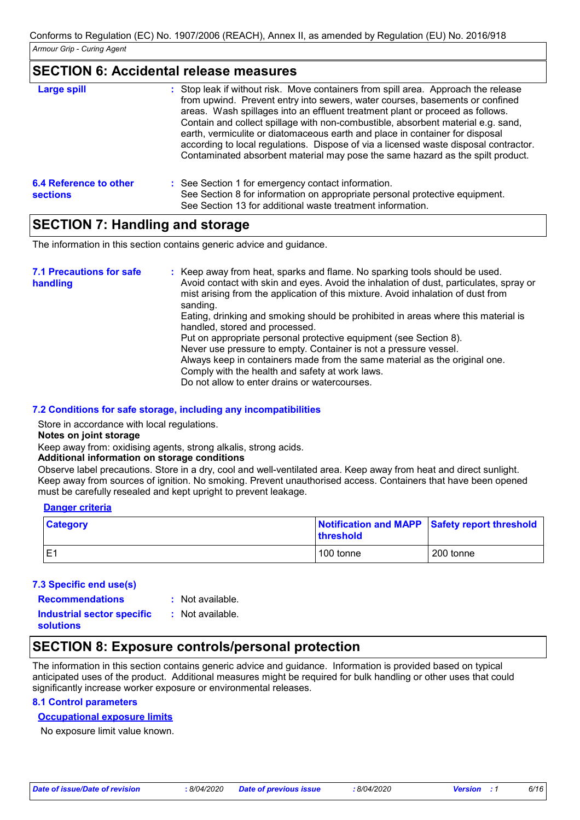### **SECTION 6: Accidental release measures**

| <b>Large spill</b>                        | : Stop leak if without risk. Move containers from spill area. Approach the release<br>from upwind. Prevent entry into sewers, water courses, basements or confined<br>areas. Wash spillages into an effluent treatment plant or proceed as follows.<br>Contain and collect spillage with non-combustible, absorbent material e.g. sand,<br>earth, vermiculite or diatomaceous earth and place in container for disposal<br>according to local regulations. Dispose of via a licensed waste disposal contractor.<br>Contaminated absorbent material may pose the same hazard as the spilt product. |
|-------------------------------------------|---------------------------------------------------------------------------------------------------------------------------------------------------------------------------------------------------------------------------------------------------------------------------------------------------------------------------------------------------------------------------------------------------------------------------------------------------------------------------------------------------------------------------------------------------------------------------------------------------|
| 6.4 Reference to other<br><b>sections</b> | : See Section 1 for emergency contact information.<br>See Section 8 for information on appropriate personal protective equipment.<br>See Section 13 for additional waste treatment information.                                                                                                                                                                                                                                                                                                                                                                                                   |

### **SECTION 7: Handling and storage**

The information in this section contains generic advice and guidance.

| <b>7.1 Precautions for safe</b><br>handling | : Keep away from heat, sparks and flame. No sparking tools should be used.<br>Avoid contact with skin and eyes. Avoid the inhalation of dust, particulates, spray or<br>mist arising from the application of this mixture. Avoid inhalation of dust from<br>sanding.<br>Eating, drinking and smoking should be prohibited in areas where this material is<br>handled, stored and processed.<br>Put on appropriate personal protective equipment (see Section 8).<br>Never use pressure to empty. Container is not a pressure vessel.<br>Always keep in containers made from the same material as the original one.<br>Comply with the health and safety at work laws. |
|---------------------------------------------|-----------------------------------------------------------------------------------------------------------------------------------------------------------------------------------------------------------------------------------------------------------------------------------------------------------------------------------------------------------------------------------------------------------------------------------------------------------------------------------------------------------------------------------------------------------------------------------------------------------------------------------------------------------------------|
|                                             | Do not allow to enter drains or watercourses.                                                                                                                                                                                                                                                                                                                                                                                                                                                                                                                                                                                                                         |

#### **7.2 Conditions for safe storage, including any incompatibilities**

Store in accordance with local regulations.

**Notes on joint storage**

Keep away from: oxidising agents, strong alkalis, strong acids.

#### **Additional information on storage conditions**

Observe label precautions. Store in a dry, cool and well-ventilated area. Keep away from heat and direct sunlight. Keep away from sources of ignition. No smoking. Prevent unauthorised access. Containers that have been opened must be carefully resealed and kept upright to prevent leakage.

#### **Danger criteria**

| <b>Category</b> | Notification and MAPP Safety report threshold<br><b>threshold</b> |           |
|-----------------|-------------------------------------------------------------------|-----------|
|                 | 100 tonne                                                         | 200 tonne |

#### **7.3 Specific end use(s)**

- **Recommendations :**
- : Not available.

**Industrial sector specific : solutions**

: Not available.

# **SECTION 8: Exposure controls/personal protection**

The information in this section contains generic advice and guidance. Information is provided based on typical anticipated uses of the product. Additional measures might be required for bulk handling or other uses that could significantly increase worker exposure or environmental releases.

### **8.1 Control parameters**

### **Occupational exposure limits**

No exposure limit value known.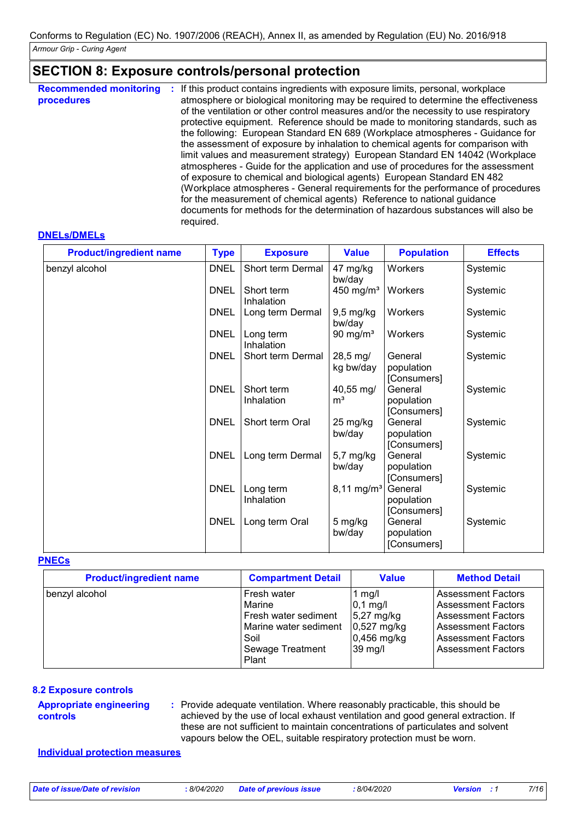### **SECTION 8: Exposure controls/personal protection**

| <b>Recommended monitoring</b><br>procedures | If this product contains ingredients with exposure limits, personal, workplace<br>÷.<br>atmosphere or biological monitoring may be required to determine the effectiveness<br>of the ventilation or other control measures and/or the necessity to use respiratory<br>protective equipment. Reference should be made to monitoring standards, such as<br>the following: European Standard EN 689 (Workplace atmospheres - Guidance for<br>the assessment of exposure by inhalation to chemical agents for comparison with<br>limit values and measurement strategy) European Standard EN 14042 (Workplace<br>atmospheres - Guide for the application and use of procedures for the assessment<br>of exposure to chemical and biological agents) European Standard EN 482<br>(Workplace atmospheres - General requirements for the performance of procedures<br>for the measurement of chemical agents) Reference to national guidance<br>documents for methods for the determination of hazardous substances will also be<br>required. |
|---------------------------------------------|----------------------------------------------------------------------------------------------------------------------------------------------------------------------------------------------------------------------------------------------------------------------------------------------------------------------------------------------------------------------------------------------------------------------------------------------------------------------------------------------------------------------------------------------------------------------------------------------------------------------------------------------------------------------------------------------------------------------------------------------------------------------------------------------------------------------------------------------------------------------------------------------------------------------------------------------------------------------------------------------------------------------------------------|
|---------------------------------------------|----------------------------------------------------------------------------------------------------------------------------------------------------------------------------------------------------------------------------------------------------------------------------------------------------------------------------------------------------------------------------------------------------------------------------------------------------------------------------------------------------------------------------------------------------------------------------------------------------------------------------------------------------------------------------------------------------------------------------------------------------------------------------------------------------------------------------------------------------------------------------------------------------------------------------------------------------------------------------------------------------------------------------------------|

#### **DNELs/DMELs**

| <b>Product/ingredient name</b> | <b>Type</b> | <b>Exposure</b>          | <b>Value</b>                | <b>Population</b>                    | <b>Effects</b> |
|--------------------------------|-------------|--------------------------|-----------------------------|--------------------------------------|----------------|
| benzyl alcohol                 | <b>DNEL</b> | Short term Dermal        | 47 mg/kg<br>bw/day          | Workers                              | Systemic       |
|                                | <b>DNEL</b> | Short term<br>Inhalation | 450 mg/m <sup>3</sup>       | Workers                              | Systemic       |
|                                | <b>DNEL</b> | Long term Dermal         | 9,5 mg/kg<br>bw/day         | Workers                              | Systemic       |
|                                | <b>DNEL</b> | Long term<br>Inhalation  | 90 mg/m $3$                 | Workers                              | Systemic       |
|                                | <b>DNEL</b> | Short term Dermal        | 28,5 mg/<br>kg bw/day       | General<br>population<br>[Consumers] | Systemic       |
|                                | <b>DNEL</b> | Short term<br>Inhalation | 40,55 mg/<br>m <sup>3</sup> | General<br>population<br>[Consumers] | Systemic       |
|                                | <b>DNEL</b> | Short term Oral          | 25 mg/kg<br>bw/day          | General<br>population<br>[Consumers] | Systemic       |
|                                | <b>DNEL</b> | Long term Dermal         | 5,7 mg/kg<br>bw/day         | General<br>population<br>[Consumers] | Systemic       |
|                                | <b>DNEL</b> | Long term<br>Inhalation  | $8,11 \text{ mg/m}^3$       | General<br>population<br>[Consumers] | Systemic       |
|                                | <b>DNEL</b> | Long term Oral           | 5 mg/kg<br>bw/day           | General<br>population<br>[Consumers] | Systemic       |

#### **PNECs**

| <b>Product/ingredient name</b> | <b>Compartment Detail</b>                                                                                            | <b>Value</b>                                                                        | <b>Method Detail</b>                                                                                                                                                       |
|--------------------------------|----------------------------------------------------------------------------------------------------------------------|-------------------------------------------------------------------------------------|----------------------------------------------------------------------------------------------------------------------------------------------------------------------------|
| benzyl alcohol                 | Fresh water<br><b>Marine</b><br>l Fresh water sediment<br>Marine water sediment<br>Soil<br>Sewage Treatment<br>Plant | 1 $mg/l$<br>$0,1$ mg/l<br>$5,27$ mg/kg<br>$0,527$ mg/kg<br>$0,456$ mg/kg<br>39 mg/l | <b>Assessment Factors</b><br><b>Assessment Factors</b><br><b>Assessment Factors</b><br><b>Assessment Factors</b><br><b>Assessment Factors</b><br><b>Assessment Factors</b> |

#### **8.2 Exposure controls**

**Appropriate engineering controls**

Provide adequate ventilation. Where reasonably practicable, this should be **:** achieved by the use of local exhaust ventilation and good general extraction. If these are not sufficient to maintain concentrations of particulates and solvent vapours below the OEL, suitable respiratory protection must be worn.

#### **Individual protection measures**

*Date of issue/Date of revision* **:** *8/04/2020 Date of previous issue : 8/04/2020 Version : 1 7/16*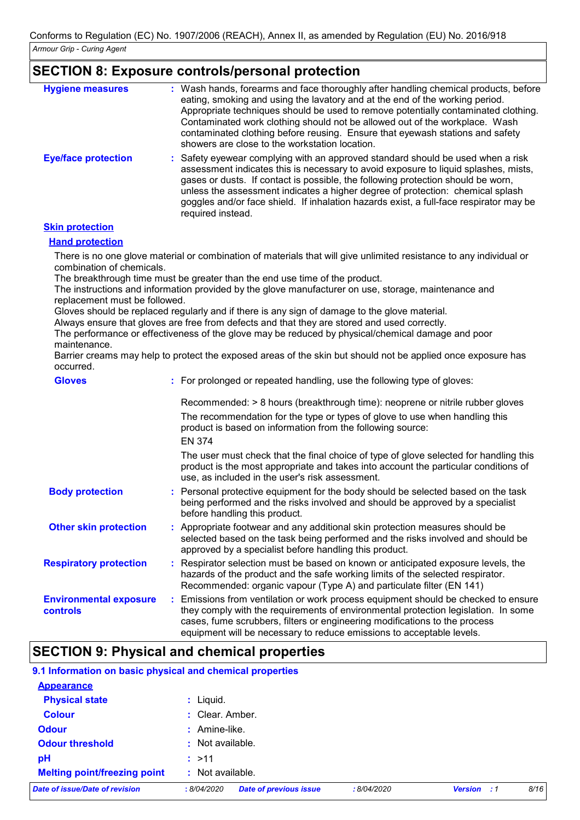### **SECTION 8: Exposure controls/personal protection**

| <b>Hygiene measures</b>    | : Wash hands, forearms and face thoroughly after handling chemical products, before<br>eating, smoking and using the lavatory and at the end of the working period.<br>Appropriate techniques should be used to remove potentially contaminated clothing.<br>Contaminated work clothing should not be allowed out of the workplace. Wash<br>contaminated clothing before reusing. Ensure that eyewash stations and safety<br>showers are close to the workstation location. |
|----------------------------|-----------------------------------------------------------------------------------------------------------------------------------------------------------------------------------------------------------------------------------------------------------------------------------------------------------------------------------------------------------------------------------------------------------------------------------------------------------------------------|
| <b>Eye/face protection</b> | : Safety eyewear complying with an approved standard should be used when a risk<br>assessment indicates this is necessary to avoid exposure to liquid splashes, mists,<br>gases or dusts. If contact is possible, the following protection should be worn,<br>unless the assessment indicates a higher degree of protection: chemical splash<br>goggles and/or face shield. If inhalation hazards exist, a full-face respirator may be<br>required instead.                 |

#### **Skin protection**

#### **Hand protection**

There is no one glove material or combination of materials that will give unlimited resistance to any individual or combination of chemicals.

The breakthrough time must be greater than the end use time of the product.

The instructions and information provided by the glove manufacturer on use, storage, maintenance and replacement must be followed.

Gloves should be replaced regularly and if there is any sign of damage to the glove material.

Always ensure that gloves are free from defects and that they are stored and used correctly.

The performance or effectiveness of the glove may be reduced by physical/chemical damage and poor maintenance.

Barrier creams may help to protect the exposed areas of the skin but should not be applied once exposure has occurred.

| <b>Gloves</b>                             | : For prolonged or repeated handling, use the following type of gloves:                                                                                                                                                                                                                                                         |
|-------------------------------------------|---------------------------------------------------------------------------------------------------------------------------------------------------------------------------------------------------------------------------------------------------------------------------------------------------------------------------------|
|                                           | Recommended: > 8 hours (breakthrough time): neoprene or nitrile rubber gloves<br>The recommendation for the type or types of glove to use when handling this<br>product is based on information from the following source:                                                                                                      |
|                                           | <b>EN 374</b>                                                                                                                                                                                                                                                                                                                   |
|                                           | The user must check that the final choice of type of glove selected for handling this<br>product is the most appropriate and takes into account the particular conditions of<br>use, as included in the user's risk assessment.                                                                                                 |
| <b>Body protection</b>                    | : Personal protective equipment for the body should be selected based on the task<br>being performed and the risks involved and should be approved by a specialist<br>before handling this product.                                                                                                                             |
| <b>Other skin protection</b>              | : Appropriate footwear and any additional skin protection measures should be<br>selected based on the task being performed and the risks involved and should be<br>approved by a specialist before handling this product.                                                                                                       |
| <b>Respiratory protection</b>             | : Respirator selection must be based on known or anticipated exposure levels, the<br>hazards of the product and the safe working limits of the selected respirator.<br>Recommended: organic vapour (Type A) and particulate filter (EN 141)                                                                                     |
| <b>Environmental exposure</b><br>controls | : Emissions from ventilation or work process equipment should be checked to ensure<br>they comply with the requirements of environmental protection legislation. In some<br>cases, fume scrubbers, filters or engineering modifications to the process<br>equipment will be necessary to reduce emissions to acceptable levels. |

# **SECTION 9: Physical and chemical properties**

#### **9.1 Information on basic physical and chemical properties**

| <b>Appearance</b>                   |                    |                               |            |                    |      |
|-------------------------------------|--------------------|-------------------------------|------------|--------------------|------|
| <b>Physical state</b>               | $:$ Liquid.        |                               |            |                    |      |
| <b>Colour</b>                       | : Clear. Amber.    |                               |            |                    |      |
| <b>Odour</b>                        | $:$ Amine-like.    |                               |            |                    |      |
| <b>Odour threshold</b>              | $:$ Not available. |                               |            |                    |      |
| pH                                  | : >11              |                               |            |                    |      |
| <b>Melting point/freezing point</b> | $:$ Not available. |                               |            |                    |      |
| Date of issue/Date of revision      | :8/04/2020         | <b>Date of previous issue</b> | :8/04/2020 | <b>Version</b> : 1 | 8/16 |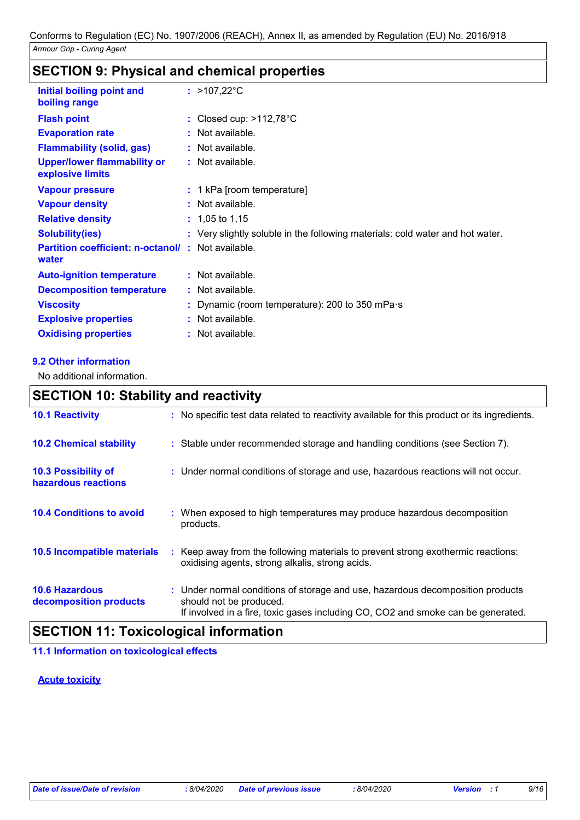# **SECTION 9: Physical and chemical properties**

| Initial boiling point and<br>boiling range                        | : $>107,22^{\circ}$ C                                                         |
|-------------------------------------------------------------------|-------------------------------------------------------------------------------|
| <b>Flash point</b>                                                | : Closed cup: $>112,78^{\circ}$ C                                             |
| <b>Evaporation rate</b>                                           | $:$ Not available.                                                            |
| <b>Flammability (solid, gas)</b>                                  | : Not available.                                                              |
| <b>Upper/lower flammability or</b><br>explosive limits            | : Not available.                                                              |
| <b>Vapour pressure</b>                                            | : 1 kPa [room temperature]                                                    |
| <b>Vapour density</b>                                             | $:$ Not available.                                                            |
| <b>Relative density</b>                                           | $: 1,05$ to 1,15                                                              |
| <b>Solubility(ies)</b>                                            | : Very slightly soluble in the following materials: cold water and hot water. |
| <b>Partition coefficient: n-octanol/: Not available.</b><br>water |                                                                               |
| <b>Auto-ignition temperature</b>                                  | : Not available.                                                              |
| <b>Decomposition temperature</b>                                  | $:$ Not available.                                                            |
| <b>Viscosity</b>                                                  | : Dynamic (room temperature): 200 to 350 mPa $\cdot$ s                        |
| <b>Explosive properties</b>                                       | : Not available.                                                              |
| <b>Oxidising properties</b>                                       | : Not available.                                                              |

#### **9.2 Other information**

No additional information.

# **SECTION 10: Stability and reactivity**

| : No specific test data related to reactivity available for this product or its ingredients.                                                                                                  |
|-----------------------------------------------------------------------------------------------------------------------------------------------------------------------------------------------|
| : Stable under recommended storage and handling conditions (see Section 7).                                                                                                                   |
| : Under normal conditions of storage and use, hazardous reactions will not occur.                                                                                                             |
| : When exposed to high temperatures may produce hazardous decomposition<br>products.                                                                                                          |
| : Keep away from the following materials to prevent strong exothermic reactions:<br>oxidising agents, strong alkalis, strong acids.                                                           |
| : Under normal conditions of storage and use, hazardous decomposition products<br>should not be produced.<br>If involved in a fire, toxic gases including CO, CO2 and smoke can be generated. |
|                                                                                                                                                                                               |

### **SECTION 11: Toxicological information**

#### **11.1 Information on toxicological effects**

#### **Acute toxicity**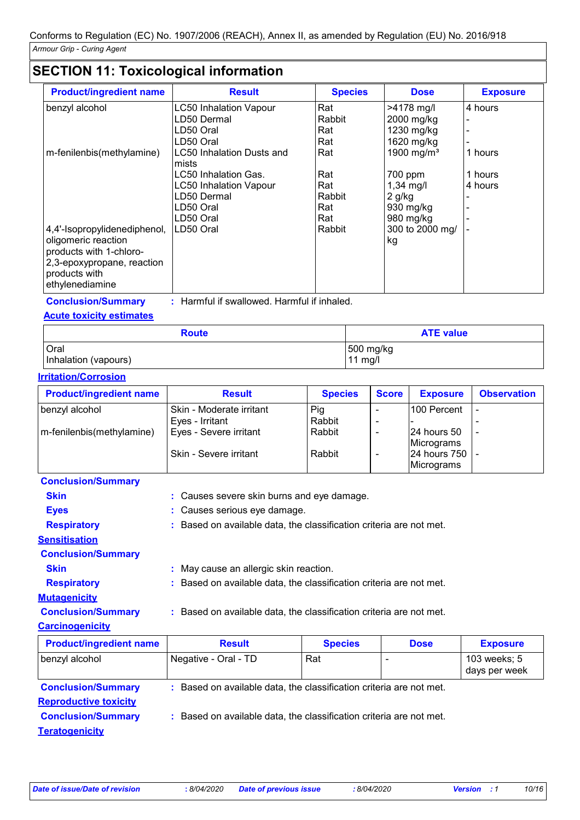# **SECTION 11: Toxicological information**

| <b>Product/ingredient name</b>                                                                               | <b>Result</b>                      | <b>Species</b> | <b>Dose</b>            | <b>Exposure</b> |
|--------------------------------------------------------------------------------------------------------------|------------------------------------|----------------|------------------------|-----------------|
| benzyl alcohol                                                                                               | <b>LC50 Inhalation Vapour</b>      | Rat            | >4178 mg/l             | 4 hours         |
|                                                                                                              | LD50 Dermal                        | Rabbit         | 2000 mg/kg             |                 |
|                                                                                                              | LD50 Oral                          | Rat            | 1230 mg/kg             |                 |
|                                                                                                              | LD50 Oral                          | Rat            | 1620 mg/kg             |                 |
| m-fenilenbis(methylamine)                                                                                    | LC50 Inhalation Dusts and<br>mists | Rat            | 1900 mg/m <sup>3</sup> | 1 hours         |
|                                                                                                              | LC50 Inhalation Gas.               | Rat            | 700 ppm                | 1 hours         |
|                                                                                                              | <b>LC50 Inhalation Vapour</b>      | Rat            | $1,34$ mg/l            | 4 hours         |
|                                                                                                              | LD50 Dermal                        | Rabbit         | $2$ g/kg               |                 |
|                                                                                                              | LD50 Oral                          | Rat            | 930 mg/kg              |                 |
|                                                                                                              | LD50 Oral                          | Rat            | 980 mg/kg              |                 |
| 4,4'-Isopropylidenediphenol,<br>oligomeric reaction<br>products with 1-chloro-<br>2,3-epoxypropane, reaction | LD50 Oral                          | Rabbit         | 300 to 2000 mg/<br>kg  |                 |
| products with<br>ethylenediamine                                                                             |                                    |                |                        |                 |

**Conclusion/Summary :** Harmful if swallowed. Harmful if inhaled.

### **Acute toxicity estimates**

| <b>Route</b>         | <b>ATE value</b> |
|----------------------|------------------|
| Oral                 | 500 mg/kg        |
| Inhalation (vapours) | 11 mg/l          |

#### **Irritation/Corrosion**

| <b>Product/ingredient name</b> | <b>Result</b>            | <b>Species</b> | <b>Score</b> | <b>Exposure</b>   | <b>Observation</b> |
|--------------------------------|--------------------------|----------------|--------------|-------------------|--------------------|
| benzyl alcohol                 | Skin - Moderate irritant | Pig            |              | 100 Percent       |                    |
|                                | Eyes - Irritant          | Rabbit         |              |                   |                    |
| m-fenilenbis(methylamine)      | Eyes - Severe irritant   | Rabbit         |              | 24 hours 50       |                    |
|                                |                          |                |              | Micrograms        |                    |
|                                | Skin - Severe irritant   | Rabbit         |              | 24 hours 750  -   |                    |
|                                |                          |                |              | <b>Micrograms</b> |                    |

| <b>Conclusion/Summary</b> |                                                                     |
|---------------------------|---------------------------------------------------------------------|
| <b>Skin</b>               | : Causes severe skin burns and eye damage.                          |
| <b>Eyes</b>               | : Causes serious eye damage.                                        |
| <b>Respiratory</b>        | : Based on available data, the classification criteria are not met. |
| <b>Sensitisation</b>      |                                                                     |
| <b>Conclusion/Summary</b> |                                                                     |
| <b>Skin</b>               | : May cause an allergic skin reaction.                              |
| <b>Respiratory</b>        | : Based on available data, the classification criteria are not met. |
| <b>Mutagenicity</b>       |                                                                     |
| <b>Conclusion/Summary</b> | : Based on available data, the classification criteria are not met. |
| <b>Carcinogenicity</b>    |                                                                     |

| <b>Product/ingredient name</b>                            | <b>Result</b>                                                       | <b>Species</b> | <b>Dose</b>              | <b>Exposure</b>               |
|-----------------------------------------------------------|---------------------------------------------------------------------|----------------|--------------------------|-------------------------------|
| benzyl alcohol                                            | Negative - Oral - TD                                                | Rat            | $\overline{\phantom{a}}$ | 103 weeks; 5<br>days per week |
| <b>Conclusion/Summary</b><br><b>Reproductive toxicity</b> | : Based on available data, the classification criteria are not met. |                |                          |                               |
| <b>Conclusion/Summary</b><br><b>Teratogenicity</b>        | : Based on available data, the classification criteria are not met. |                |                          |                               |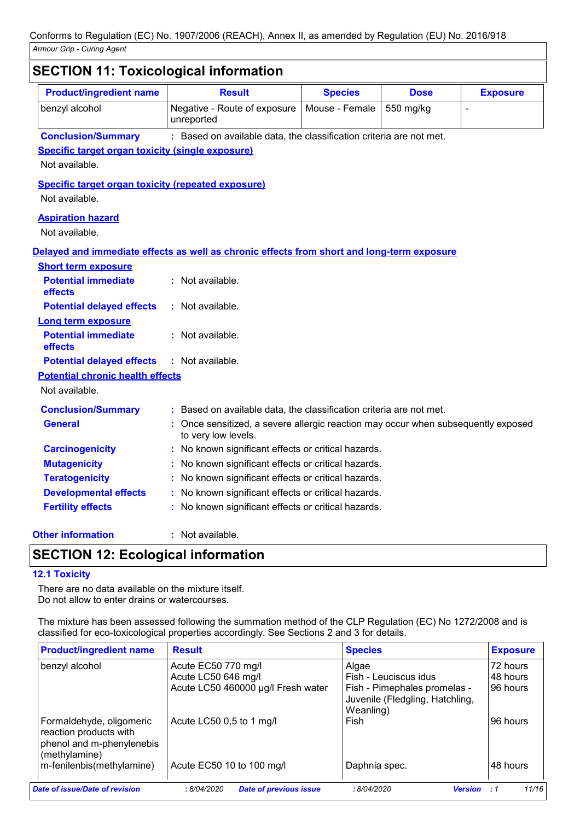| <b>Product/ingredient name</b>                            | <b>Result</b>                                                                                          | <b>Species</b> | <b>Dose</b> | <b>Exposure</b>          |
|-----------------------------------------------------------|--------------------------------------------------------------------------------------------------------|----------------|-------------|--------------------------|
| benzyl alcohol                                            | Negative - Route of exposure<br>unreported                                                             | Mouse - Female | 550 mg/kg   | $\overline{\phantom{a}}$ |
| <b>Conclusion/Summary</b>                                 | : Based on available data, the classification criteria are not met.                                    |                |             |                          |
| <b>Specific target organ toxicity (single exposure)</b>   |                                                                                                        |                |             |                          |
| Not available.                                            |                                                                                                        |                |             |                          |
| <b>Specific target organ toxicity (repeated exposure)</b> |                                                                                                        |                |             |                          |
| Not available.                                            |                                                                                                        |                |             |                          |
| <b>Aspiration hazard</b>                                  |                                                                                                        |                |             |                          |
| Not available.                                            |                                                                                                        |                |             |                          |
|                                                           | Delayed and immediate effects as well as chronic effects from short and long-term exposure             |                |             |                          |
| <b>Short term exposure</b>                                |                                                                                                        |                |             |                          |
| <b>Potential immediate</b>                                | : Not available.                                                                                       |                |             |                          |
| effects                                                   |                                                                                                        |                |             |                          |
| <b>Potential delayed effects</b>                          | : Not available.                                                                                       |                |             |                          |
| <b>Long term exposure</b>                                 |                                                                                                        |                |             |                          |
| <b>Potential immediate</b><br>effects                     | : Not available.                                                                                       |                |             |                          |
| <b>Potential delayed effects</b>                          | $:$ Not available.                                                                                     |                |             |                          |
| <b>Potential chronic health effects</b>                   |                                                                                                        |                |             |                          |
| Not available.                                            |                                                                                                        |                |             |                          |
| <b>Conclusion/Summary</b>                                 | Based on available data, the classification criteria are not met.                                      |                |             |                          |
| General                                                   | Once sensitized, a severe allergic reaction may occur when subsequently exposed<br>to very low levels. |                |             |                          |
| <b>Carcinogenicity</b>                                    | No known significant effects or critical hazards.                                                      |                |             |                          |
| <b>Mutagenicity</b>                                       | No known significant effects or critical hazards.                                                      |                |             |                          |
| <b>Teratogenicity</b>                                     | No known significant effects or critical hazards.                                                      |                |             |                          |
| <b>Developmental effects</b>                              | No known significant effects or critical hazards.                                                      |                |             |                          |
| <b>Fertility effects</b>                                  | No known significant effects or critical hazards.                                                      |                |             |                          |
| <b>Other information</b>                                  | : Not available.                                                                                       |                |             |                          |

# **SECTION 12: Ecological information**

#### **12.1 Toxicity**

There are no data available on the mixture itself. Do not allow to enter drains or watercourses.

The mixture has been assessed following the summation method of the CLP Regulation (EC) No 1272/2008 and is classified for eco-toxicological properties accordingly. See Sections 2 and 3 for details.

| <b>Product/ingredient name</b>                                                                   | <b>Result</b>                               | <b>Species</b>                                                               | <b>Exposure</b> |
|--------------------------------------------------------------------------------------------------|---------------------------------------------|------------------------------------------------------------------------------|-----------------|
| benzyl alcohol                                                                                   | Acute EC50 770 mg/l                         | Algae                                                                        | 72 hours        |
|                                                                                                  | Acute LC50 646 mg/l                         | Fish - Leuciscus idus                                                        | 48 hours        |
|                                                                                                  | Acute LC50 460000 µg/l Fresh water          | Fish - Pimephales promelas -<br>Juvenile (Fledgling, Hatchling,<br>Weanling) | 96 hours        |
| Formaldehyde, oligomeric<br>reaction products with<br>phenol and m-phenylenebis<br>(methylamine) | Acute LC50 0,5 to 1 mg/l                    | Fish                                                                         | 196 hours       |
| m-fenilenbis(methylamine)                                                                        | Acute EC50 10 to 100 mg/l                   | Daphnia spec.                                                                | 48 hours        |
| Date of issue/Date of revision                                                                   | <b>Date of previous issue</b><br>:8/04/2020 | :8/04/2020<br><b>Version</b>                                                 | 11/16<br>- 1    |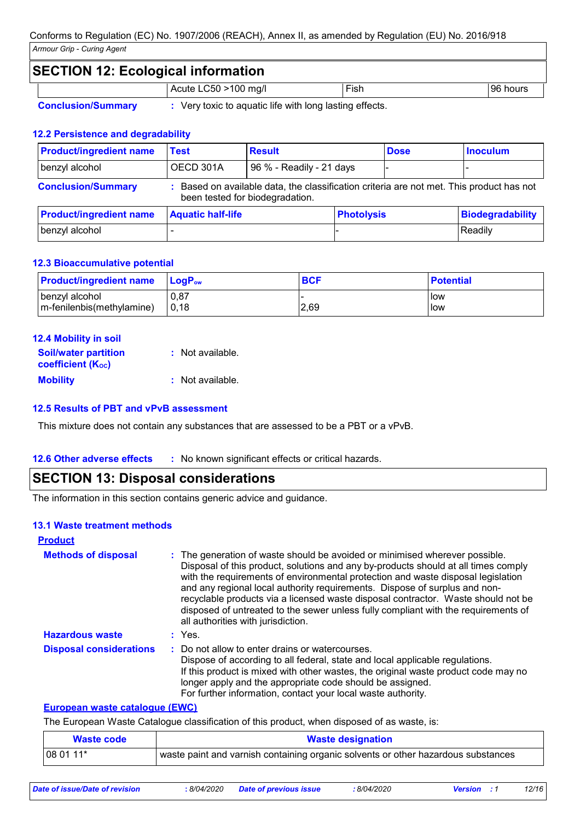# **SECTION 12: Ecological information** Acute LC50 >100 mg/l Fish Fish 96 hours **Conclusion/Summary :** Very toxic to aquatic life with long lasting effects.

#### **12.2 Persistence and degradability**

| <b>Product/ingredient name</b> | Test                                                                                                                        | <b>Result</b>            |                   | <b>Dose</b> | <b>Inoculum</b>         |
|--------------------------------|-----------------------------------------------------------------------------------------------------------------------------|--------------------------|-------------------|-------------|-------------------------|
| benzyl alcohol                 | OECD 301A                                                                                                                   | 96 % - Readily - 21 days |                   |             |                         |
| <b>Conclusion/Summary</b>      | : Based on available data, the classification criteria are not met. This product has not<br>been tested for biodegradation. |                          |                   |             |                         |
| <b>Product/ingredient name</b> | <b>Aquatic half-life</b>                                                                                                    |                          | <b>Photolysis</b> |             | <b>Biodegradability</b> |
| benzyl alcohol                 |                                                                                                                             |                          |                   |             | Readily                 |

#### **12.3 Bioaccumulative potential**

| <b>Product/ingredient name</b> | <b>LogP</b> <sub>ow</sub> | <b>BCF</b> | <b>Potential</b> |
|--------------------------------|---------------------------|------------|------------------|
| benzyl alcohol                 | 0.87                      |            | l low            |
| m-fenilenbis(methylamine)      | 0,18                      | 2,69       | How              |

# **12.4 Mobility in soil**

| <b>Soil/water partition</b> | : Not available. |
|-----------------------------|------------------|
| <b>coefficient (Koc)</b>    |                  |
| <b>Mobility</b>             | : Not available. |

#### **12.5 Results of PBT and vPvB assessment**

This mixture does not contain any substances that are assessed to be a PBT or a vPvB.

#### **12.6 Other adverse effects** : No known significant effects or critical hazards.

### **SECTION 13: Disposal considerations**

The information in this section contains generic advice and guidance.

#### **13.1 Waste treatment methods**

| <b>Product</b>                 |                                                                                                                                                                                                                                                                                                                                                                                                                                                                                                                                                      |
|--------------------------------|------------------------------------------------------------------------------------------------------------------------------------------------------------------------------------------------------------------------------------------------------------------------------------------------------------------------------------------------------------------------------------------------------------------------------------------------------------------------------------------------------------------------------------------------------|
| <b>Methods of disposal</b>     | : The generation of waste should be avoided or minimised wherever possible.<br>Disposal of this product, solutions and any by-products should at all times comply<br>with the requirements of environmental protection and waste disposal legislation<br>and any regional local authority requirements. Dispose of surplus and non-<br>recyclable products via a licensed waste disposal contractor. Waste should not be<br>disposed of untreated to the sewer unless fully compliant with the requirements of<br>all authorities with jurisdiction. |
| <b>Hazardous waste</b>         | : Yes.                                                                                                                                                                                                                                                                                                                                                                                                                                                                                                                                               |
| <b>Disposal considerations</b> | : Do not allow to enter drains or watercourses.<br>Dispose of according to all federal, state and local applicable regulations.<br>If this product is mixed with other wastes, the original waste product code may no<br>longer apply and the appropriate code should be assigned.<br>For further information, contact your local waste authority.                                                                                                                                                                                                   |

#### **European waste catalogue (EWC)**

The European Waste Catalogue classification of this product, when disposed of as waste, is:

| <b>Waste code</b> | <b>Waste designation</b>                                                            |
|-------------------|-------------------------------------------------------------------------------------|
| 108 01 11*        | I waste paint and varnish containing organic solvents or other hazardous substances |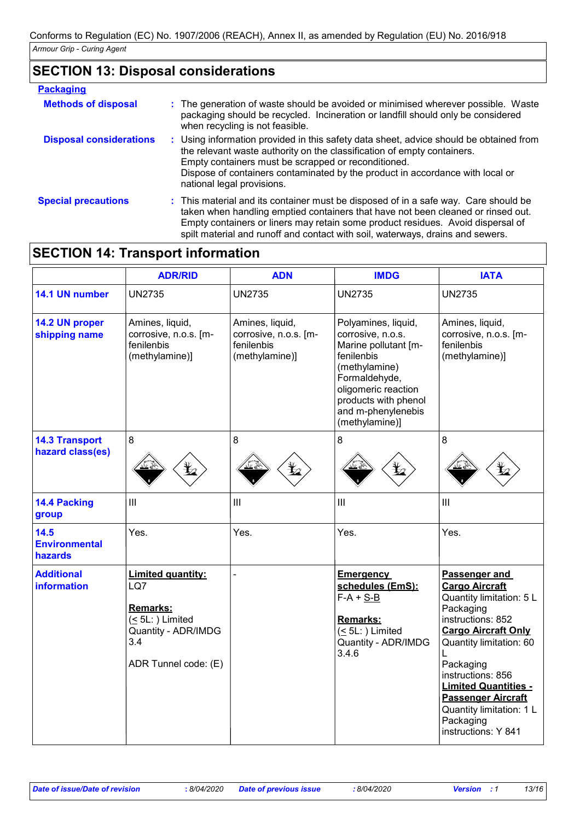# **SECTION 13: Disposal considerations**

| <b>Packaging</b>               |                                                                                                                                                                                                                                                                                                                                              |
|--------------------------------|----------------------------------------------------------------------------------------------------------------------------------------------------------------------------------------------------------------------------------------------------------------------------------------------------------------------------------------------|
| <b>Methods of disposal</b>     | : The generation of waste should be avoided or minimised wherever possible. Waste<br>packaging should be recycled. Incineration or landfill should only be considered<br>when recycling is not feasible.                                                                                                                                     |
| <b>Disposal considerations</b> | : Using information provided in this safety data sheet, advice should be obtained from<br>the relevant waste authority on the classification of empty containers.<br>Empty containers must be scrapped or reconditioned.<br>Dispose of containers contaminated by the product in accordance with local or<br>national legal provisions.      |
| <b>Special precautions</b>     | : This material and its container must be disposed of in a safe way. Care should be<br>taken when handling emptied containers that have not been cleaned or rinsed out.<br>Empty containers or liners may retain some product residues. Avoid dispersal of<br>spilt material and runoff and contact with soil, waterways, drains and sewers. |

# **SECTION 14: Transport information**

|                                           | <b>ADR/RID</b>                                                                                                      | <b>ADN</b>                                                               | <b>IMDG</b>                                                                                                                                                                                             | <b>IATA</b>                                                                                                                                                                                                                                                                                                                 |
|-------------------------------------------|---------------------------------------------------------------------------------------------------------------------|--------------------------------------------------------------------------|---------------------------------------------------------------------------------------------------------------------------------------------------------------------------------------------------------|-----------------------------------------------------------------------------------------------------------------------------------------------------------------------------------------------------------------------------------------------------------------------------------------------------------------------------|
| 14.1 UN number                            | <b>UN2735</b>                                                                                                       | <b>UN2735</b>                                                            | <b>UN2735</b>                                                                                                                                                                                           | <b>UN2735</b>                                                                                                                                                                                                                                                                                                               |
| 14.2 UN proper<br>shipping name           | Amines, liquid,<br>corrosive, n.o.s. [m-<br>fenilenbis<br>(methylamine)]                                            | Amines, liquid,<br>corrosive, n.o.s. [m-<br>fenilenbis<br>(methylamine)] | Polyamines, liquid,<br>corrosive, n.o.s.<br>Marine pollutant [m-<br>fenilenbis<br>(methylamine)<br>Formaldehyde,<br>oligomeric reaction<br>products with phenol<br>and m-phenylenebis<br>(methylamine)] | Amines, liquid,<br>corrosive, n.o.s. [m-<br>fenilenbis<br>(methylamine)]                                                                                                                                                                                                                                                    |
| <b>14.3 Transport</b><br>hazard class(es) | 8                                                                                                                   | 8                                                                        | 8                                                                                                                                                                                                       | 8                                                                                                                                                                                                                                                                                                                           |
| 14.4 Packing<br>group                     | III                                                                                                                 | $\mathbf{III}$                                                           | III                                                                                                                                                                                                     | $\mathbf{III}$                                                                                                                                                                                                                                                                                                              |
| 14.5<br><b>Environmental</b><br>hazards   | Yes.                                                                                                                | Yes.                                                                     | Yes.                                                                                                                                                                                                    | Yes.                                                                                                                                                                                                                                                                                                                        |
| <b>Additional</b><br><b>information</b>   | <b>Limited quantity:</b><br>LQ7<br>Remarks:<br>$(5L)$ Limited<br>Quantity - ADR/IMDG<br>3.4<br>ADR Tunnel code: (E) |                                                                          | <b>Emergency</b><br>schedules (EmS):<br>$F-A + S-B$<br>Remarks:<br>$(5L)$ Limited<br>Quantity - ADR/IMDG<br>3.4.6                                                                                       | Passenger and<br><b>Cargo Aircraft</b><br>Quantity limitation: 5 L<br>Packaging<br>instructions: 852<br><b>Cargo Aircraft Only</b><br>Quantity limitation: 60<br>Packaging<br>instructions: 856<br><b>Limited Quantities -</b><br><b>Passenger Aircraft</b><br>Quantity limitation: 1 L<br>Packaging<br>instructions: Y 841 |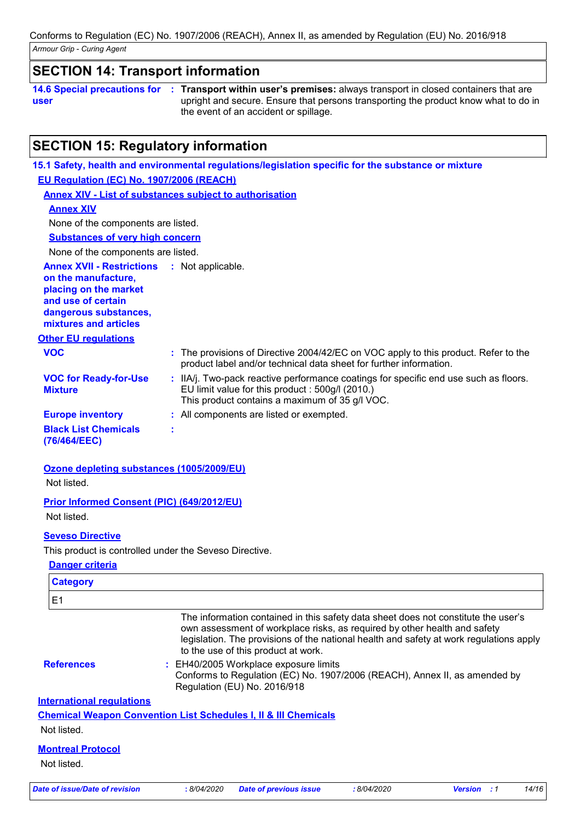### **SECTION 14: Transport information**

**14.6 Special precautions for user Transport within user's premises:** always transport in closed containers that are **:** upright and secure. Ensure that persons transporting the product know what to do in the event of an accident or spillage.

# **SECTION 15: Regulatory information**

| 15.1 Safety, health and environmental regulations/legislation specific for the substance or mixture                                                                                        |
|--------------------------------------------------------------------------------------------------------------------------------------------------------------------------------------------|
| EU Regulation (EC) No. 1907/2006 (REACH)                                                                                                                                                   |
| <b>Annex XIV - List of substances subject to authorisation</b>                                                                                                                             |
|                                                                                                                                                                                            |
| None of the components are listed.                                                                                                                                                         |
| <b>Substances of very high concern</b>                                                                                                                                                     |
| None of the components are listed.                                                                                                                                                         |
| <b>Annex XVII - Restrictions</b><br>: Not applicable.                                                                                                                                      |
|                                                                                                                                                                                            |
| : The provisions of Directive 2004/42/EC on VOC apply to this product. Refer to the<br>product label and/or technical data sheet for further information.                                  |
| : IIA/j. Two-pack reactive performance coatings for specific end use such as floors.<br>EU limit value for this product : 500g/l (2010.)<br>This product contains a maximum of 35 g/l VOC. |
| : All components are listed or exempted.                                                                                                                                                   |
| t                                                                                                                                                                                          |
|                                                                                                                                                                                            |

### **Ozone depleting substances (1005/2009/EU)**

Not listed.

#### **Prior Informed Consent (PIC) (649/2012/EU)**

Not listed.

#### **Seveso Directive**

This product is controlled under the Seveso Directive.

#### **Danger criteria**

| <b>Category</b>                  |                                                                                                                                                                                                                                                                                                   |
|----------------------------------|---------------------------------------------------------------------------------------------------------------------------------------------------------------------------------------------------------------------------------------------------------------------------------------------------|
| E <sub>1</sub>                   |                                                                                                                                                                                                                                                                                                   |
|                                  | The information contained in this safety data sheet does not constitute the user's<br>own assessment of workplace risks, as required by other health and safety<br>legislation. The provisions of the national health and safety at work regulations apply<br>to the use of this product at work. |
| <b>References</b>                | : EH40/2005 Workplace exposure limits<br>Conforms to Regulation (EC) No. 1907/2006 (REACH), Annex II, as amended by<br>Regulation (EU) No. 2016/918                                                                                                                                               |
| <b>International requlations</b> |                                                                                                                                                                                                                                                                                                   |
|                                  | <b>Chemical Weapon Convention List Schedules I, II &amp; III Chemicals</b>                                                                                                                                                                                                                        |
| Not listed.                      |                                                                                                                                                                                                                                                                                                   |
| <b>Montreal Protocol</b>         |                                                                                                                                                                                                                                                                                                   |
| Not listed.                      |                                                                                                                                                                                                                                                                                                   |
|                                  |                                                                                                                                                                                                                                                                                                   |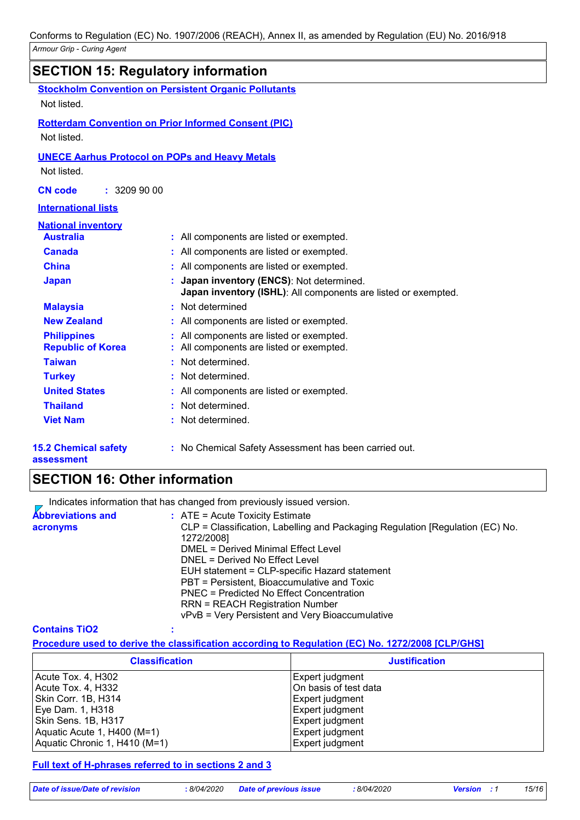|                                           | <b>SECTION 15: Regulatory information</b>                                                                 |
|-------------------------------------------|-----------------------------------------------------------------------------------------------------------|
|                                           | <b>Stockholm Convention on Persistent Organic Pollutants</b>                                              |
| Not listed.                               |                                                                                                           |
|                                           | <b>Rotterdam Convention on Prior Informed Consent (PIC)</b>                                               |
| Not listed.                               |                                                                                                           |
|                                           | <b>UNECE Aarhus Protocol on POPs and Heavy Metals</b>                                                     |
| Not listed.                               |                                                                                                           |
| <b>CN</b> code<br>: 32099000              |                                                                                                           |
| <b>International lists</b>                |                                                                                                           |
| <b>National inventory</b>                 |                                                                                                           |
| <b>Australia</b>                          | : All components are listed or exempted.                                                                  |
| <b>Canada</b>                             | All components are listed or exempted.                                                                    |
| <b>China</b>                              | All components are listed or exempted.                                                                    |
| <b>Japan</b>                              | Japan inventory (ENCS): Not determined.<br>Japan inventory (ISHL): All components are listed or exempted. |
| <b>Malaysia</b>                           | Not determined<br>٠                                                                                       |
| <b>New Zealand</b>                        | All components are listed or exempted.                                                                    |
| <b>Philippines</b>                        | All components are listed or exempted.                                                                    |
| <b>Republic of Korea</b>                  | All components are listed or exempted.                                                                    |
| <b>Taiwan</b>                             | Not determined.                                                                                           |
| <b>Turkey</b>                             | Not determined.                                                                                           |
| <b>United States</b>                      | All components are listed or exempted.                                                                    |
| <b>Thailand</b>                           | Not determined.                                                                                           |
| <b>Viet Nam</b>                           | Not determined.                                                                                           |
| <b>15.2 Chemical safety</b><br>assessment | : No Chemical Safety Assessment has been carried out.                                                     |

# **SECTION 16: Other information**

Indicates information that has changed from previously issued version.  $\overline{z}$ 

| <b>Abbreviations and</b> | $:$ ATE = Acute Toxicity Estimate                                             |
|--------------------------|-------------------------------------------------------------------------------|
| acronyms                 | CLP = Classification, Labelling and Packaging Regulation [Regulation (EC) No. |
|                          | 1272/2008]                                                                    |
|                          | <b>DMEL = Derived Minimal Effect Level</b>                                    |
|                          | DNEL = Derived No Effect Level                                                |
|                          | EUH statement = CLP-specific Hazard statement                                 |
|                          | PBT = Persistent, Bioaccumulative and Toxic                                   |
|                          | PNEC = Predicted No Effect Concentration                                      |
|                          | <b>RRN = REACH Registration Number</b>                                        |
|                          | vPvB = Very Persistent and Very Bioaccumulative                               |

#### **Contains TiO2 :**

|  | Procedure used to derive the classification according to Regulation (EC) No. 1272/2008 [CLP/GHS] |  |  |  |
|--|--------------------------------------------------------------------------------------------------|--|--|--|
|--|--------------------------------------------------------------------------------------------------|--|--|--|

| <b>Classification</b>         | <b>Justification</b>  |
|-------------------------------|-----------------------|
| Acute Tox. 4, H302            | Expert judgment       |
| Acute Tox. 4, H332            | On basis of test data |
| Skin Corr. 1B, H314           | Expert judgment       |
| Eye Dam. 1, H318              | Expert judgment       |
| Skin Sens. 1B, H317           | Expert judgment       |
| Aquatic Acute 1, H400 (M=1)   | Expert judgment       |
| Aquatic Chronic 1, H410 (M=1) | Expert judgment       |

#### **Full text of H-phrases referred to in sections 2 and 3**

*Date of issue/Date of revision* **:** *8/04/2020 Date of previous issue : 8/04/2020 Version : 1 15/16*